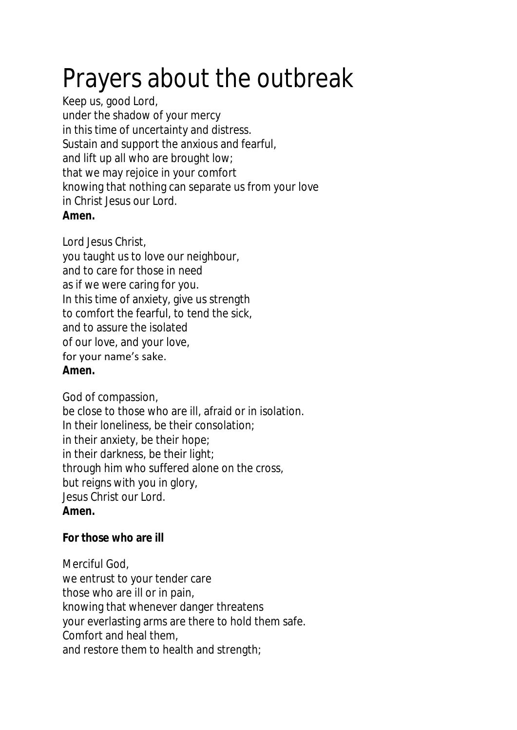## Prayers about the outbreak

Keep us, good Lord, under the shadow of your mercy in this time of uncertainty and distress. Sustain and support the anxious and fearful, and lift up all who are brought low; that we may rejoice in your comfort knowing that nothing can separate us from your love in Christ Jesus our Lord. **Amen.**

Lord Jesus Christ, you taught us to love our neighbour, and to care for those in need as if we were caring for you. In this time of anxiety, give us strength to comfort the fearful, to tend the sick, and to assure the isolated of our love, and your love,

## for your name's sake.

**Amen.**

God of compassion, be close to those who are ill, afraid or in isolation. In their loneliness, be their consolation; in their anxiety, be their hope; in their darkness, be their light; through him who suffered alone on the cross, but reigns with you in glory, Jesus Christ our Lord. **Amen.**

**For those who are ill**

Merciful God, we entrust to your tender care those who are ill or in pain, knowing that whenever danger threatens your everlasting arms are there to hold them safe. Comfort and heal them, and restore them to health and strength;